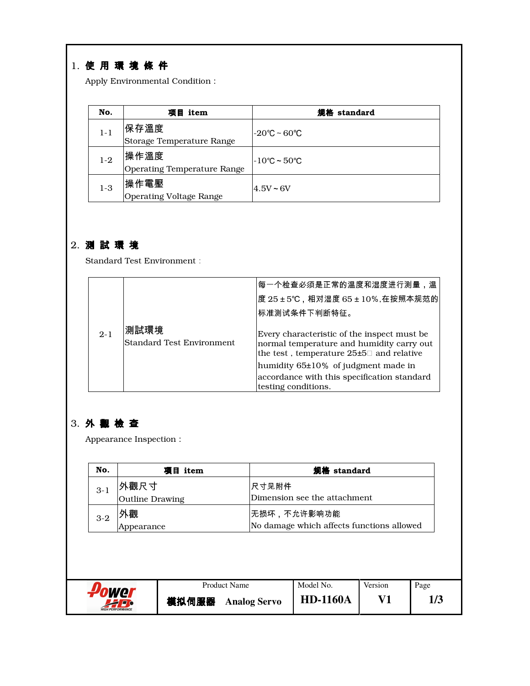# 1. 使 用 環 境 條 件

Apply Environmental Condition:

| No.     | 项目 item                                    | 规格 standard                       |
|---------|--------------------------------------------|-----------------------------------|
| $1 - 1$ | 保存溫度<br>Storage Temperature Range          | $-20^{\circ}$ C ~ 60 $^{\circ}$ C |
| $1-2$   | 操作溫度<br><b>Operating Temperature Range</b> | l-10℃~50℃                         |
| $1-3$   | '操作電壓<br><b>Operating Voltage Range</b>    | $4.5V - 6V$                       |

### 2. 測 試 環 境

Standard Test Environment:

|         |                                          | <sup> </sup> 每一个检查必须是正常的温度和湿度进行测量,温                                                                                                                                                                                            |
|---------|------------------------------------------|--------------------------------------------------------------------------------------------------------------------------------------------------------------------------------------------------------------------------------|
|         |                                          | 度 25±5℃,相对湿度 65±10%,在按照本规范的                                                                                                                                                                                                    |
|         |                                          | 标准测试条件下判断特征。                                                                                                                                                                                                                   |
| $2 - 1$ | 測試環境<br><b>Standard Test Environment</b> | Every characteristic of the inspect must be<br>normal temperature and humidity carry out<br>the test, temperature 25±5 and relative<br>humidity $65\pm10\%$ of judgment made in<br>accordance with this specification standard |
|         |                                          | testing conditions.                                                                                                                                                                                                            |

## 3. 外 觀 檢 查

Appearance Inspection:

| No.     |                        | 项目 item |                     | 规格 standard                               |         |      |
|---------|------------------------|---------|---------------------|-------------------------------------------|---------|------|
| $3 - 1$ | 外觀尺寸                   |         | 尺寸见附件               |                                           |         |      |
|         | <b>Outline Drawing</b> |         |                     | Dimension see the attachment.             |         |      |
| $3-2$   | 外觀                     |         |                     | <b> 无损坏,不允许影响功能</b>                       |         |      |
|         | Appearance             |         |                     | No damage which affects functions allowed |         |      |
|         | ower                   |         | <b>Product Name</b> | Model No.                                 | Version |      |
|         |                        |         |                     |                                           |         | Page |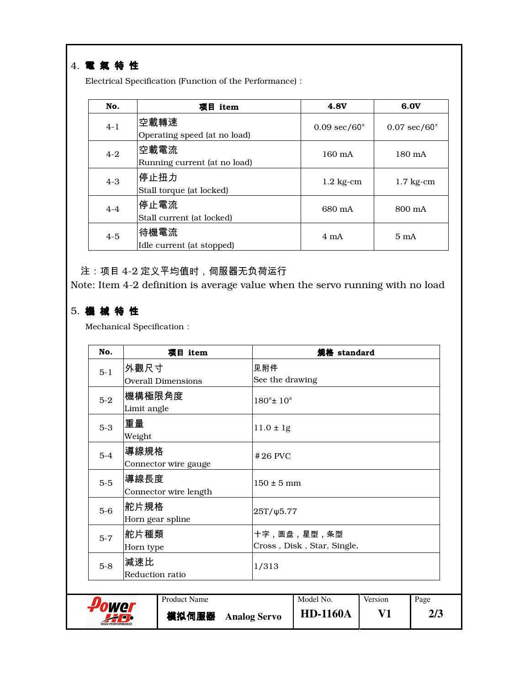## 4. 電 氣 特 性

Electrical Specification (Function of the Performance):

| No.     | 项目 item                              | <b>4.8V</b>                   | 6.0V                          |
|---------|--------------------------------------|-------------------------------|-------------------------------|
| $4 - 1$ | 空載轉速<br>Operating speed (at no load) | $0.09 \text{ sec}/60^{\circ}$ | $0.07 \text{ sec}/60^{\circ}$ |
| $4 - 2$ | 空載電流<br>Running current (at no load) | $160 \text{ mA}$              | $180 \text{ mA}$              |
| $4 - 3$ | 停止扭力<br>Stall torque (at locked)     | $1.2 \text{ kg-cm}$           | $1.7 \text{ kg-cm}$           |
| $4 - 4$ | 停止電流<br>Stall current (at locked)    | 680 mA                        | 800 mA                        |
| $4 - 5$ | 待機電流<br>Idle current (at stopped)    | $4 \text{ mA}$                | $5 \text{ mA}$                |

注:项目 4-2 定义平均值时,伺服器无负荷运行

Note: Item 4-2 definition is average value when the servo running with no load

### 5. 機 械 特 性

Mechanical Specification:

| No.     | 项目 item                       |                              | 规格 standard                               |         |      |
|---------|-------------------------------|------------------------------|-------------------------------------------|---------|------|
| $5-1$   | 外觀尺寸                          | 见附件                          |                                           |         |      |
|         | <b>Overall Dimensions</b>     | See the drawing              |                                           |         |      |
| $5-2$   | 機構極限角度<br>Limit angle         | $180^{\circ}$ ± $10^{\circ}$ |                                           |         |      |
| $5 - 3$ | 重量<br>Weight                  | $11.0 \pm 1g$                |                                           |         |      |
| $5 - 4$ | 導線規格<br>Connector wire gauge  | $#26$ PVC                    |                                           |         |      |
| $5-5$   | 導線長度<br>Connector wire length | $150 \pm 5$ mm               |                                           |         |      |
| $5-6$   | 舵片規格<br>Horn gear spline      | $25T/\psi$ 5.77              |                                           |         |      |
| $5 - 7$ | 舵片種類 <br>Horn type            |                              | 十字,圆盘,星型,条型<br>Cross, Disk, Star, Single, |         |      |
| $5-8$   | 減速比<br>Reduction ratio        | 1/313                        |                                           |         |      |
|         | <b>Product Name</b>           |                              | Model No.                                 | Version | Page |
|         | 模拟伺服器                         | <b>Analog Servo</b>          | <b>HD-1160A</b>                           | V1      | 2/3  |